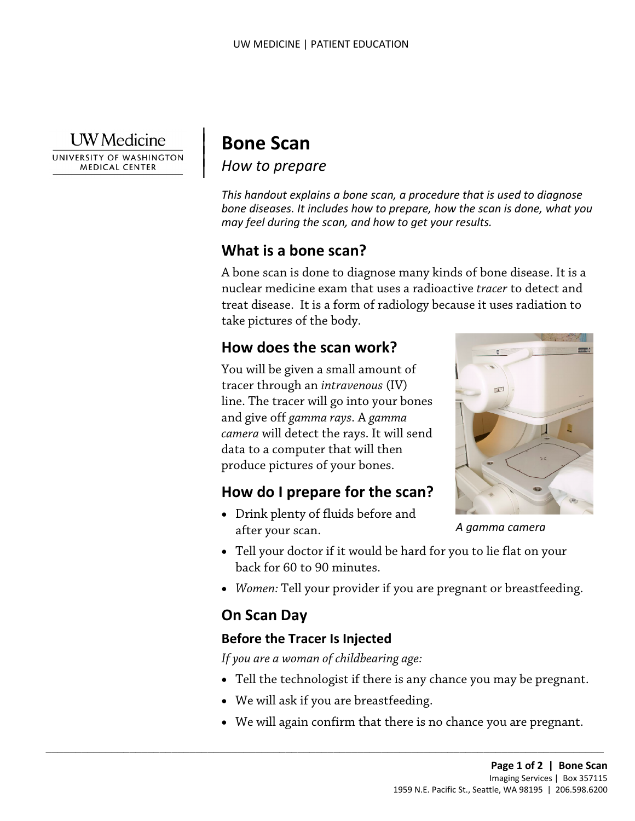

UNIVERSITY OF WASHINGTON **MEDICAL CENTER** 

# | **Bone Scan**

|

 $\vert$ 

*How to prepare* |

*This handout explains a bone scan, a procedure that is used to diagnose bone diseases. It includes how to prepare, how the scan is done, what you may feel during the scan, and how to get your results.* 

### **What is a bone scan?**

 take pictures of the body. A bone scan is done to diagnose many kinds of bone disease. It is a nuclear medicine exam that uses a radioactive *tracer* to detect and treat disease. It is a form of radiology because it uses radiation to

### **How does the scan work?**

 line. The tracer will go into your bones *camera* will detect the rays. It will send You will be given a small amount of tracer through an *intravenous* (IV) and give off *gamma rays*. A *gamma*  data to a computer that will then produce pictures of your bones.

### **How do I prepare for the scan?**

• Drink plenty of fluids before and after your scan.



*A gamma camera* 

- back for 60 to 90 minutes. • Tell your doctor if it would be hard for you to lie flat on your
- *Women:* Tell your provider if you are pregnant or breastfeeding.

### **On Scan Day**

#### **Before the Tracer Is Injected**

*If you are a woman of childbearing age:* 

- Tell the technologist if there is any chance you may be pregnant.
- We will ask if you are breastfeeding.

 $\_$  ,  $\_$  ,  $\_$  ,  $\_$  ,  $\_$  ,  $\_$  ,  $\_$  ,  $\_$  ,  $\_$  ,  $\_$  ,  $\_$  ,  $\_$  ,  $\_$  ,  $\_$  ,  $\_$  ,  $\_$  ,  $\_$  ,  $\_$  ,  $\_$  ,  $\_$  ,  $\_$  ,  $\_$  ,  $\_$  ,  $\_$  ,  $\_$  ,  $\_$  ,  $\_$  ,  $\_$  ,  $\_$  ,  $\_$  ,  $\_$  ,  $\_$  ,  $\_$  ,  $\_$  ,  $\_$  ,  $\_$  ,  $\_$  ,

• We will again confirm that there is no chance you are pregnant.